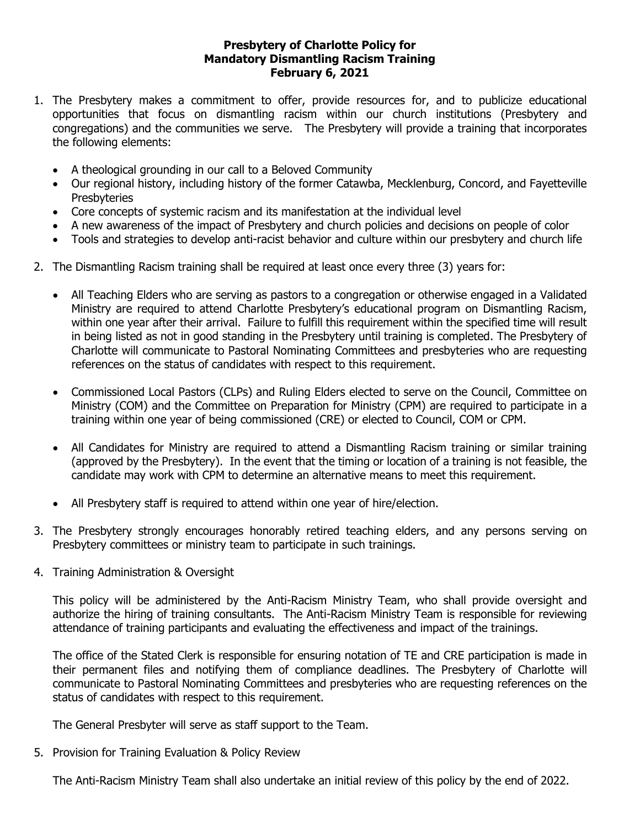## **Presbytery of Charlotte Policy for Mandatory Dismantling Racism Training February 6, 2021**

- 1. The Presbytery makes a commitment to offer, provide resources for, and to publicize educational opportunities that focus on dismantling racism within our church institutions (Presbytery and congregations) and the communities we serve. The Presbytery will provide a training that incorporates the following elements:
	- A theological grounding in our call to a Beloved Community
	- Our regional history, including history of the former Catawba, Mecklenburg, Concord, and Fayetteville **Presbyteries**
	- Core concepts of systemic racism and its manifestation at the individual level
	- A new awareness of the impact of Presbytery and church policies and decisions on people of color
	- Tools and strategies to develop anti-racist behavior and culture within our presbytery and church life
- 2. The Dismantling Racism training shall be required at least once every three (3) years for:
	- All Teaching Elders who are serving as pastors to a congregation or otherwise engaged in a Validated Ministry are required to attend Charlotte Presbytery's educational program on Dismantling Racism, within one year after their arrival. Failure to fulfill this requirement within the specified time will result in being listed as not in good standing in the Presbytery until training is completed. The Presbytery of Charlotte will communicate to Pastoral Nominating Committees and presbyteries who are requesting references on the status of candidates with respect to this requirement.
	- Commissioned Local Pastors (CLPs) and Ruling Elders elected to serve on the Council, Committee on Ministry (COM) and the Committee on Preparation for Ministry (CPM) are required to participate in a training within one year of being commissioned (CRE) or elected to Council, COM or CPM.
	- All Candidates for Ministry are required to attend a Dismantling Racism training or similar training (approved by the Presbytery). In the event that the timing or location of a training is not feasible, the candidate may work with CPM to determine an alternative means to meet this requirement.
	- All Presbytery staff is required to attend within one year of hire/election.
- 3. The Presbytery strongly encourages honorably retired teaching elders, and any persons serving on Presbytery committees or ministry team to participate in such trainings.
- 4. Training Administration & Oversight

This policy will be administered by the Anti-Racism Ministry Team, who shall provide oversight and authorize the hiring of training consultants. The Anti-Racism Ministry Team is responsible for reviewing attendance of training participants and evaluating the effectiveness and impact of the trainings.

The office of the Stated Clerk is responsible for ensuring notation of TE and CRE participation is made in their permanent files and notifying them of compliance deadlines. The Presbytery of Charlotte will communicate to Pastoral Nominating Committees and presbyteries who are requesting references on the status of candidates with respect to this requirement.

The General Presbyter will serve as staff support to the Team.

5. Provision for Training Evaluation & Policy Review

The Anti-Racism Ministry Team shall also undertake an initial review of this policy by the end of 2022.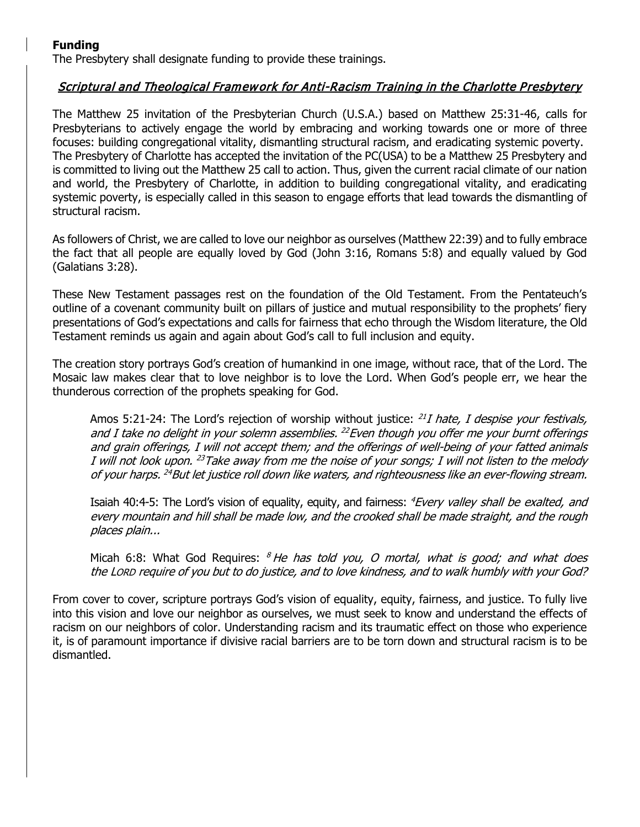## **Funding**

The Presbytery shall designate funding to provide these trainings.

## Scriptural and Theological Framework for Anti-Racism Training in the Charlotte Presbytery

The Matthew 25 invitation of the Presbyterian Church (U.S.A.) based on Matthew 25:31-46, calls for Presbyterians to actively engage the world by embracing and working towards one or more of three focuses: building congregational vitality, dismantling structural racism, and eradicating systemic poverty. The Presbytery of Charlotte has accepted the invitation of the PC(USA) to be a Matthew 25 Presbytery and is committed to living out the Matthew 25 call to action. Thus, given the current racial climate of our nation and world, the Presbytery of Charlotte, in addition to building congregational vitality, and eradicating systemic poverty, is especially called in this season to engage efforts that lead towards the dismantling of structural racism.

As followers of Christ, we are called to love our neighbor as ourselves (Matthew 22:39) and to fully embrace the fact that all people are equally loved by God (John 3:16, Romans 5:8) and equally valued by God (Galatians 3:28).

These New Testament passages rest on the foundation of the Old Testament. From the Pentateuch's outline of a covenant community built on pillars of justice and mutual responsibility to the prophets' fiery presentations of God's expectations and calls for fairness that echo through the Wisdom literature, the Old Testament reminds us again and again about God's call to full inclusion and equity.

The creation story portrays God's creation of humankind in one image, without race, that of the Lord. The Mosaic law makes clear that to love neighbor is to love the Lord. When God's people err, we hear the thunderous correction of the prophets speaking for God.

Amos 5:21-24: The Lord's rejection of worship without justice:  $^{21}I$  hate, I despise your festivals, and I take no delight in your solemn assemblies.  $^{22}$  Even though you offer me your burnt offerings and grain offerings, I will not accept them; and the offerings of well-being of your fatted animals I will not look upon. <sup>23</sup>Take away from me the noise of your songs; I will not listen to the melody of your harps. <sup>24</sup>But let justice roll down like waters, and righteousness like an ever-flowing stream.

Isaiah 40:4-5: The Lord's vision of equality, equity, and fairness: *<sup>4</sup>Every valley shall be exalted, and* every mountain and hill shall be made low, and the crooked shall be made straight, and the rough places plain...

Micah 6:8: What God Requires:  $8$  He has told you, O mortal, what is good; and what does the LORD require of you but to do justice, and to love kindness, and to walk humbly with your God?

From cover to cover, scripture portrays God's vision of equality, equity, fairness, and justice. To fully live into this vision and love our neighbor as ourselves, we must seek to know and understand the effects of racism on our neighbors of color. Understanding racism and its traumatic effect on those who experience it, is of paramount importance if divisive racial barriers are to be torn down and structural racism is to be dismantled.